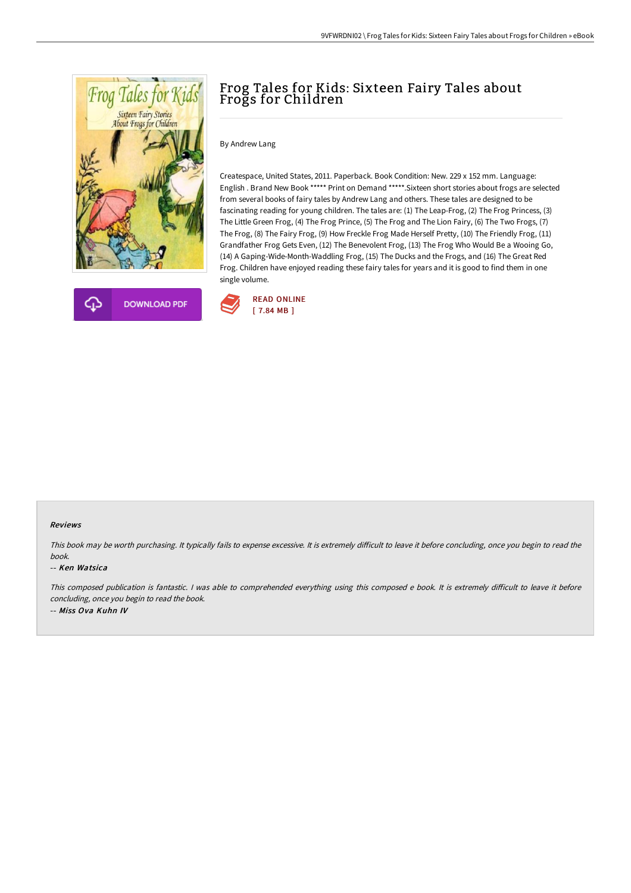



# Frog Tales for Kids: Sixteen Fairy Tales about Frogs for Children

By Andrew Lang

Createspace, United States, 2011. Paperback. Book Condition: New. 229 x 152 mm. Language: English . Brand New Book \*\*\*\*\* Print on Demand \*\*\*\*\*.Sixteen short stories about frogs are selected from several books of fairy tales by Andrew Lang and others. These tales are designed to be fascinating reading for young children. The tales are: (1) The Leap-Frog, (2) The Frog Princess, (3) The Little Green Frog, (4) The Frog Prince, (5) The Frog and The Lion Fairy, (6) The Two Frogs, (7) The Frog, (8) The Fairy Frog, (9) How Freckle Frog Made Herself Pretty, (10) The Friendly Frog, (11) Grandfather Frog Gets Even, (12) The Benevolent Frog, (13) The Frog Who Would Be a Wooing Go, (14) A Gaping-Wide-Month-Waddling Frog, (15) The Ducks and the Frogs, and (16) The Great Red Frog. Children have enjoyed reading these fairy tales for years and it is good to find them in one single volume.



#### Reviews

This book may be worth purchasing. It typically fails to expense excessive. It is extremely difficult to leave it before concluding, once you begin to read the book.

#### -- Ken Watsica

This composed publication is fantastic. I was able to comprehended everything using this composed e book. It is extremely difficult to leave it before concluding, once you begin to read the book. -- Miss Ova Kuhn IV